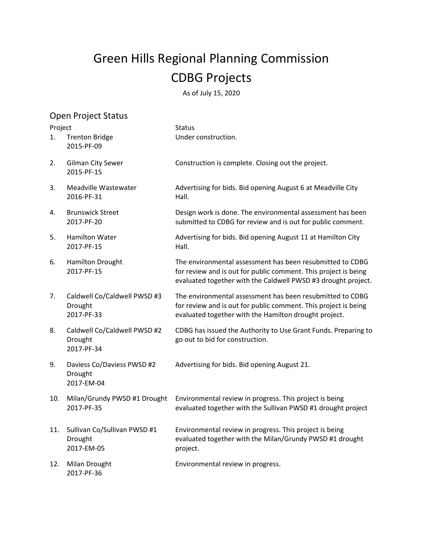## Green Hills Regional Planning Commission CDBG Projects

As of July 15, 2020

|         | <b>Open Project Status</b>                            |                                                                                                                                                                                               |
|---------|-------------------------------------------------------|-----------------------------------------------------------------------------------------------------------------------------------------------------------------------------------------------|
| Project |                                                       | <b>Status</b>                                                                                                                                                                                 |
| 1.      | <b>Trenton Bridge</b><br>2015-PF-09                   | Under construction.                                                                                                                                                                           |
| 2.      | <b>Gilman City Sewer</b><br>2015-PF-15                | Construction is complete. Closing out the project.                                                                                                                                            |
| 3.      | Meadville Wastewater<br>2016-PF-31                    | Advertising for bids. Bid opening August 6 at Meadville City<br>Hall.                                                                                                                         |
| 4.      | <b>Brunswick Street</b><br>2017-PF-20                 | Design work is done. The environmental assessment has been<br>submitted to CDBG for review and is out for public comment.                                                                     |
| 5.      | <b>Hamilton Water</b><br>2017-PF-15                   | Advertising for bids. Bid opening August 11 at Hamilton City<br>Hall.                                                                                                                         |
| 6.      | <b>Hamilton Drought</b><br>2017-PF-15                 | The environmental assessment has been resubmitted to CDBG<br>for review and is out for public comment. This project is being<br>evaluated together with the Caldwell PWSD #3 drought project. |
| 7.      | Caldwell Co/Caldwell PWSD #3<br>Drought<br>2017-PF-33 | The environmental assessment has been resubmitted to CDBG<br>for review and is out for public comment. This project is being<br>evaluated together with the Hamilton drought project.         |
| 8.      | Caldwell Co/Caldwell PWSD #2<br>Drought<br>2017-PF-34 | CDBG has issued the Authority to Use Grant Funds. Preparing to<br>go out to bid for construction.                                                                                             |
| 9.      | Daviess Co/Daviess PWSD #2<br>Drought<br>2017-EM-04   | Advertising for bids. Bid opening August 21.                                                                                                                                                  |
| 10.     | Milan/Grundy PWSD #1 Drought<br>2017-PF-35            | Environmental review in progress. This project is being<br>evaluated together with the Sullivan PWSD #1 drought project                                                                       |
| 11.     | Sullivan Co/Sullivan PWSD #1<br>Drought<br>2017-EM-05 | Environmental review in progress. This project is being<br>evaluated together with the Milan/Grundy PWSD #1 drought<br>project.                                                               |
| 12.     | Milan Drought<br>2017-PF-36                           | Environmental review in progress.                                                                                                                                                             |